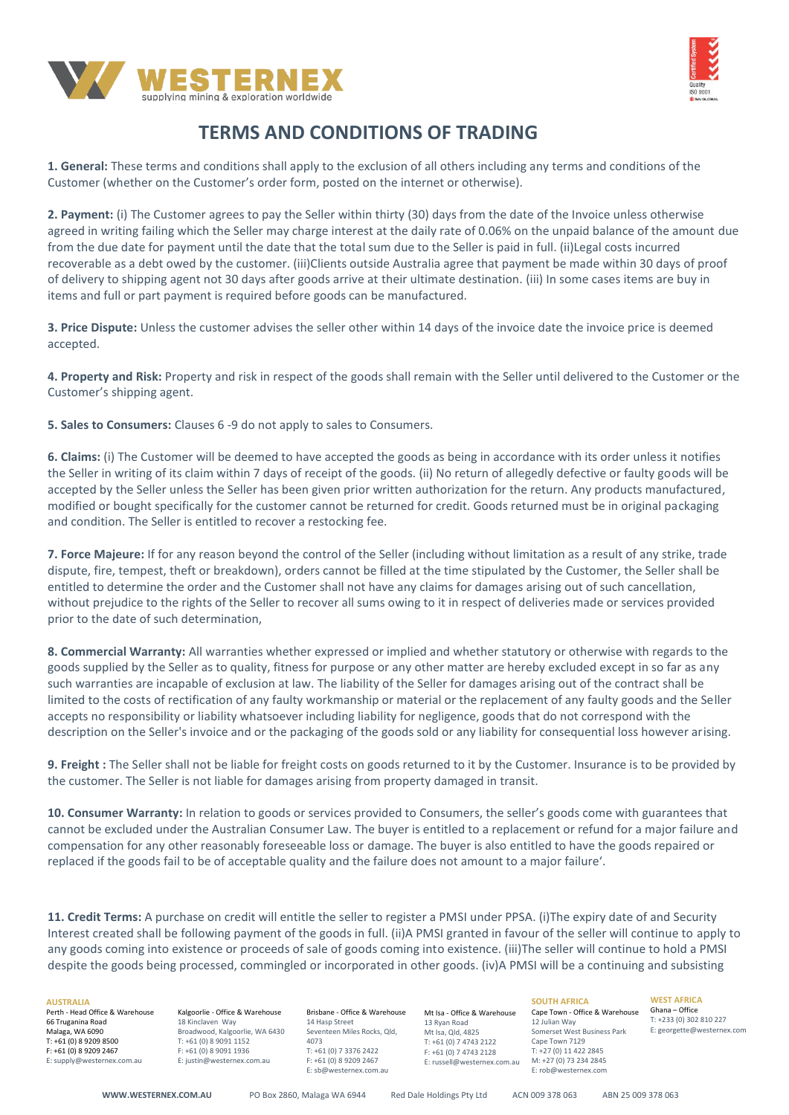



# **TERMS AND CONDITIONS OF TRADING**

**1. General:** These terms and conditions shall apply to the exclusion of all others including any terms and conditions of the Customer (whether on the Customer's order form, posted on the internet or otherwise).

**2. Payment:** (i) The Customer agrees to pay the Seller within thirty (30) days from the date of the Invoice unless otherwise agreed in writing failing which the Seller may charge interest at the daily rate of 0.06% on the unpaid balance of the amount due from the due date for payment until the date that the total sum due to the Seller is paid in full. (ii)Legal costs incurred recoverable as a debt owed by the customer. (iii)Clients outside Australia agree that payment be made within 30 days of proof of delivery to shipping agent not 30 days after goods arrive at their ultimate destination. (iii) In some cases items are buy in items and full or part payment is required before goods can be manufactured.

**3. Price Dispute:** Unless the customer advises the seller other within 14 days of the invoice date the invoice price is deemed accepted.

**4. Property and Risk:** Property and risk in respect of the goods shall remain with the Seller until delivered to the Customer or the Customer's shipping agent.

**5. Sales to Consumers:** Clauses 6 -9 do not apply to sales to Consumers.

**6. Claims:** (i) The Customer will be deemed to have accepted the goods as being in accordance with its order unless it notifies the Seller in writing of its claim within 7 days of receipt of the goods. (ii) No return of allegedly defective or faulty goods will be accepted by the Seller unless the Seller has been given prior written authorization for the return. Any products manufactured, modified or bought specifically for the customer cannot be returned for credit. Goods returned must be in original packaging and condition. The Seller is entitled to recover a restocking fee.

**7. Force Majeure:** If for any reason beyond the control of the Seller (including without limitation as a result of any strike, trade dispute, fire, tempest, theft or breakdown), orders cannot be filled at the time stipulated by the Customer, the Seller shall be entitled to determine the order and the Customer shall not have any claims for damages arising out of such cancellation, without prejudice to the rights of the Seller to recover all sums owing to it in respect of deliveries made or services provided prior to the date of such determination,

**8. Commercial Warranty:** All warranties whether expressed or implied and whether statutory or otherwise with regards to the goods supplied by the Seller as to quality, fitness for purpose or any other matter are hereby excluded except in so far as any such warranties are incapable of exclusion at law. The liability of the Seller for damages arising out of the contract shall be limited to the costs of rectification of any faulty workmanship or material or the replacement of any faulty goods and the Seller accepts no responsibility or liability whatsoever including liability for negligence, goods that do not correspond with the description on the Seller's invoice and or the packaging of the goods sold or any liability for consequential loss however arising.

**9. Freight :** The Seller shall not be liable for freight costs on goods returned to it by the Customer. Insurance is to be provided by the customer. The Seller is not liable for damages arising from property damaged in transit.

**10. Consumer Warranty:** In relation to goods or services provided to Consumers, the seller's goods come with guarantees that cannot be excluded under the Australian Consumer Law. The buyer is entitled to a replacement or refund for a major failure and compensation for any other reasonably foreseeable loss or damage. The buyer is also entitled to have the goods repaired or replaced if the goods fail to be of acceptable quality and the failure does not amount to a major failure'.

**11. Credit Terms:** A purchase on credit will entitle the seller to register a PMSI under PPSA. (i)The expiry date of and Security Interest created shall be following payment of the goods in full. (ii)A PMSI granted in favour of the seller will continue to apply to any goods coming into existence or proceeds of sale of goods coming into existence. (iii)The seller will continue to hold a PMSI despite the goods being processed, commingled or incorporated in other goods. (iv)A PMSI will be a continuing and subsisting

### **AUSTRALIA**

Perth - Head Office & Warehouse 66 Truganina Road Malaga, WA 6090 T: +61 (0) 8 9209 8500 F: +61 (0) 8 9209 2467 E: supply@westernex.com.au

Kalgoorlie - Office & Warehouse 18 Kinclaven Way Broadwood, Kalgoorlie, WA 6430 T: +61 (0) 8 9091 1152 F: +61 (0) 8 9091 1936 E: justin@westernex.com.au

Brisbane - Office & Warehouse 14 Hasp Street Seventeen Miles Rocks, Qld, 4073 T: +61 (0) 7 3376 2422 F: +61 (0) 8 9209 2467 E: sb@westernex.com.au

Mt Isa - Office & Warehouse 13 Ryan Road Mt Isa, Qld, 4825 T: +61 (0) 7 4743 2122 F: +61 (0) 7 4743 2128 E: russell@westernex.com.au

**SOUTH AFRICA** Cape Town - Office & Warehouse 12 Julian Way Somerset West Business Park Cape Town 7129 T: +27 (0) 11 422 2845 M: +27 (0) 73 234 2845 E: rob@westernex.com

**WEST AFRICA** Ghana – Office T: +233 (0) 302 810 227 E: georgette@westernex.com